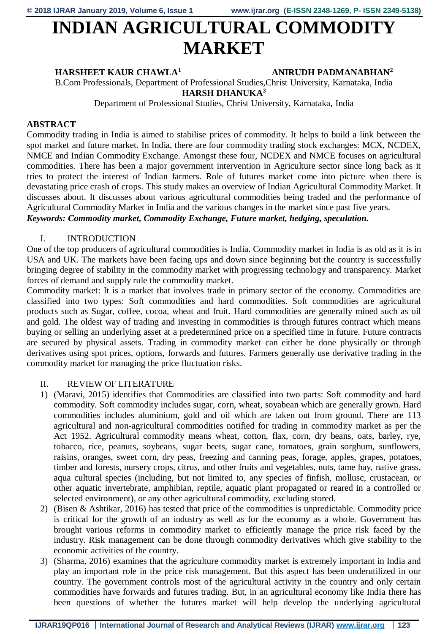# **INDIAN AGRICULTURAL COMMODITY MARKET**

### **HARSHEET KAUR CHAWLA<sup>1</sup> ANIRUDH PADMANABHAN<sup>2</sup>**

B.Com Professionals, Department of Professional Studies,Christ University, Karnataka, India **HARSH DHANUKA<sup>3</sup>**

Department of Professional Studies, Christ University, Karnataka, India

# **ABSTRACT**

Commodity trading in India is aimed to stabilise prices of commodity. It helps to build a link between the spot market and future market. In India, there are four commodity trading stock exchanges: MCX, NCDEX, NMCE and Indian Commodity Exchange. Amongst these four, NCDEX and NMCE focuses on agricultural commodities. There has been a major government intervention in Agriculture sector since long back as it tries to protect the interest of Indian farmers. Role of futures market come into picture when there is devastating price crash of crops. This study makes an overview of Indian Agricultural Commodity Market. It discusses about. It discusses about various agricultural commodities being traded and the performance of Agricultural Commodity Market in India and the various changes in the market since past five years. *Keywords: Commodity market, Commodity Exchange, Future market, hedging, speculation.*

# I. INTRODUCTION

One of the top producers of agricultural commodities is India. Commodity market in India is as old as it is in USA and UK. The markets have been facing ups and down since beginning but the country is successfully bringing degree of stability in the commodity market with progressing technology and transparency. Market forces of demand and supply rule the commodity market.

Commodity market: It is a market that involves trade in primary sector of the economy. Commodities are classified into two types: Soft commodities and hard commodities. Soft commodities are agricultural products such as Sugar, coffee, cocoa, wheat and fruit. Hard commodities are generally mined such as oil and gold. The oldest way of trading and investing in commodities is through futures contract which means buying or selling an underlying asset at a predetermined price on a specified time in future. Future contracts are secured by physical assets. Trading in commodity market can either be done physically or through derivatives using spot prices, options, forwards and futures. Farmers generally use derivative trading in the commodity market for managing the price fluctuation risks.

# II. REVIEW OF LITERATURE

- 1) (Maravi, 2015) identifies that Commodities are classified into two parts: Soft commodity and hard commodity. Soft commodity includes sugar, corn, wheat, soyabean which are generally grown. Hard commodities includes aluminium, gold and oil which are taken out from ground. There are 113 agricultural and non-agricultural commodities notified for trading in commodity market as per the Act 1952. Agricultural commodity means wheat, cotton, flax, corn, dry beans, oats, barley, rye, tobacco, rice, peanuts, soybeans, sugar beets, sugar cane, tomatoes, grain sorghum, sunflowers, raisins, oranges, sweet corn, dry peas, freezing and canning peas, forage, apples, grapes, potatoes, timber and forests, nursery crops, citrus, and other fruits and vegetables, nuts, tame hay, native grass, aqua cultural species (including, but not limited to, any species of finfish, mollusc, crustacean, or other aquatic invertebrate, amphibian, reptile, aquatic plant propagated or reared in a controlled or selected environment), or any other agricultural commodity, excluding stored.
- 2) (Bisen & Ashtikar, 2016) has tested that price of the commodities is unpredictable. Commodity price is critical for the growth of an industry as well as for the economy as a whole. Government has brought various reforms in commodity market to efficiently manage the price risk faced by the industry. Risk management can be done through commodity derivatives which give stability to the economic activities of the country.
- 3) (Sharma, 2016) examines that the agriculture commodity market is extremely important in India and play an important role in the price risk management. But this aspect has been underutilized in our country. The government controls most of the agricultural activity in the country and only certain commodities have forwards and futures trading. But, in an agricultural economy like India there has been questions of whether the futures market will help develop the underlying agricultural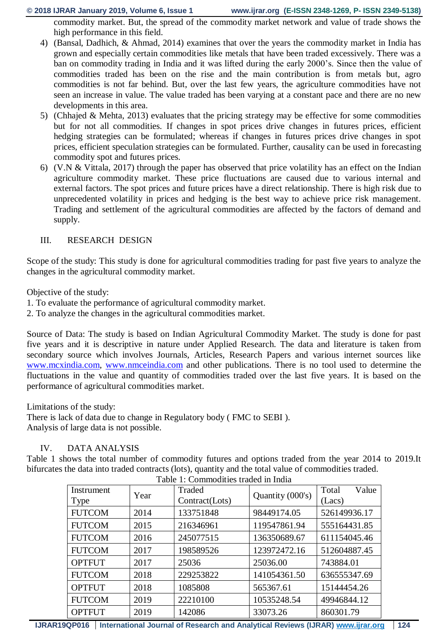**© 2018 IJRAR January 2019, Volume 6, Issue 1 www.ijrar.org (E-ISSN 2348-1269, P- ISSN 2349-5138)**

commodity market. But, the spread of the commodity market network and value of trade shows the high performance in this field.

- 4) (Bansal, Dadhich, & Ahmad, 2014) examines that over the years the commodity market in India has grown and especially certain commodities like metals that have been traded excessively. There was a ban on commodity trading in India and it was lifted during the early 2000's. Since then the value of commodities traded has been on the rise and the main contribution is from metals but, agro commodities is not far behind. But, over the last few years, the agriculture commodities have not seen an increase in value. The value traded has been varying at a constant pace and there are no new developments in this area.
- 5) (Chhajed & Mehta, 2013) evaluates that the pricing strategy may be effective for some commodities but for not all commodities. If changes in spot prices drive changes in futures prices, efficient hedging strategies can be formulated; whereas if changes in futures prices drive changes in spot prices, efficient speculation strategies can be formulated. Further, causality can be used in forecasting commodity spot and futures prices.
- 6) (V.N & Vittala, 2017) through the paper has observed that price volatility has an effect on the Indian agriculture commodity market. These price fluctuations are caused due to various internal and external factors. The spot prices and future prices have a direct relationship. There is high risk due to unprecedented volatility in prices and hedging is the best way to achieve price risk management. Trading and settlement of the agricultural commodities are affected by the factors of demand and supply.

#### III. RESEARCH DESIGN

Scope of the study: This study is done for agricultural commodities trading for past five years to analyze the changes in the agricultural commodity market.

Objective of the study:

- 1. To evaluate the performance of agricultural commodity market.
- 2. To analyze the changes in the agricultural commodities market.

Source of Data: The study is based on Indian Agricultural Commodity Market. The study is done for past five years and it is descriptive in nature under Applied Research. The data and literature is taken from secondary source which involves Journals, Articles, Research Papers and various internet sources like [www.mcxindia.com,](http://www.mcxindia.com/) [www.nmceindia.com](http://www.nmceindia.com/) and other publications. There is no tool used to determine the fluctuations in the value and quantity of commodities traded over the last five years. It is based on the performance of agricultural commodities market.

Limitations of the study:

There is lack of data due to change in Regulatory body ( FMC to SEBI ). Analysis of large data is not possible.

#### IV. DATA ANALYSIS

Table 1 shows the total number of commodity futures and options traded from the year 2014 to 2019.It bifurcates the data into traded contracts (lots), quantity and the total value of commodities traded.

| Instrument    | Year | Traded         | Quantity (000's) | Value<br>Total |
|---------------|------|----------------|------------------|----------------|
| Type          |      | Contract(Lots) |                  | (Lacs)         |
| <b>FUTCOM</b> | 2014 | 133751848      | 98449174.05      | 526149936.17   |
| <b>FUTCOM</b> | 2015 | 216346961      | 119547861.94     | 555164431.85   |
| <b>FUTCOM</b> | 2016 | 245077515      | 136350689.67     | 611154045.46   |
| <b>FUTCOM</b> | 2017 | 198589526      | 123972472.16     | 512604887.45   |
| <b>OPTFUT</b> | 2017 | 25036          | 25036.00         | 743884.01      |
| <b>FUTCOM</b> | 2018 | 229253822      | 141054361.50     | 636555347.69   |
| <b>OPTFUT</b> | 2018 | 1085808        | 565367.61        | 15144454.26    |
| <b>FUTCOM</b> | 2019 | 22210100       | 10535248.54      | 49946844.12    |
| <b>OPTFUT</b> | 2019 | 142086         | 33073.26         | 860301.79      |

Table 1: Commodities traded in India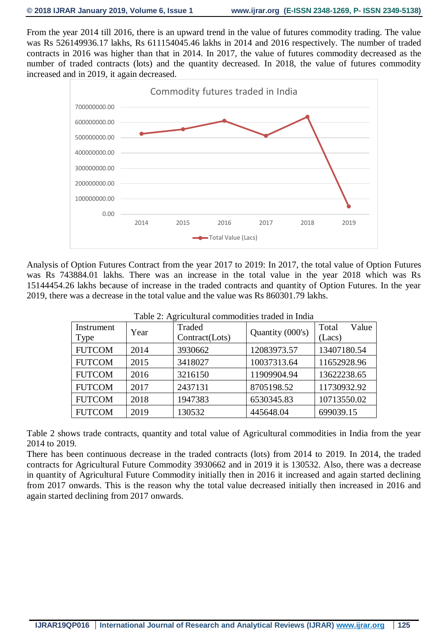From the year 2014 till 2016, there is an upward trend in the value of futures commodity trading. The value was Rs 526149936.17 lakhs, Rs 611154045.46 lakhs in 2014 and 2016 respectively. The number of traded contracts in 2016 was higher than that in 2014. In 2017, the value of futures commodity decreased as the number of traded contracts (lots) and the quantity decreased. In 2018, the value of futures commodity increased and in 2019, it again decreased.



Analysis of Option Futures Contract from the year 2017 to 2019: In 2017, the total value of Option Futures was Rs 743884.01 lakhs. There was an increase in the total value in the year 2018 which was Rs 15144454.26 lakhs because of increase in the traded contracts and quantity of Option Futures. In the year 2019, there was a decrease in the total value and the value was Rs 860301.79 lakhs.

| Instrument    | Year | Traded         | Quantity (000's) | Value<br>Total |  |  |
|---------------|------|----------------|------------------|----------------|--|--|
| Type          |      | Contract(Lots) |                  | (Lacs)         |  |  |
| <b>FUTCOM</b> | 2014 | 3930662        | 12083973.57      | 13407180.54    |  |  |
| <b>FUTCOM</b> | 2015 | 3418027        | 10037313.64      | 11652928.96    |  |  |
| <b>FUTCOM</b> | 2016 | 3216150        | 11909904.94      | 13622238.65    |  |  |
| <b>FUTCOM</b> | 2017 | 2437131        | 8705198.52       | 11730932.92    |  |  |
| <b>FUTCOM</b> | 2018 | 1947383        | 6530345.83       | 10713550.02    |  |  |
| <b>FUTCOM</b> | 2019 | 130532         | 445648.04        | 699039.15      |  |  |

Table 2: Agricultural commodities traded in India

Table 2 shows trade contracts, quantity and total value of Agricultural commodities in India from the year 2014 to 2019.

There has been continuous decrease in the traded contracts (lots) from 2014 to 2019. In 2014, the traded contracts for Agricultural Future Commodity 3930662 and in 2019 it is 130532. Also, there was a decrease in quantity of Agricultural Future Commodity initially then in 2016 it increased and again started declining from 2017 onwards. This is the reason why the total value decreased initially then increased in 2016 and again started declining from 2017 onwards.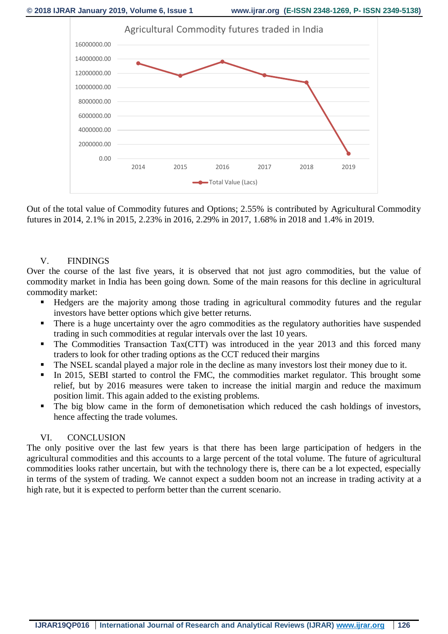

Out of the total value of Commodity futures and Options; 2.55% is contributed by Agricultural Commodity futures in 2014, 2.1% in 2015, 2.23% in 2016, 2.29% in 2017, 1.68% in 2018 and 1.4% in 2019.

#### V. FINDINGS

Over the course of the last five years, it is observed that not just agro commodities, but the value of commodity market in India has been going down. Some of the main reasons for this decline in agricultural commodity market:

- Hedgers are the majority among those trading in agricultural commodity futures and the regular investors have better options which give better returns.
- There is a huge uncertainty over the agro commodities as the regulatory authorities have suspended trading in such commodities at regular intervals over the last 10 years.
- The Commodities Transaction Tax(CTT) was introduced in the year 2013 and this forced many traders to look for other trading options as the CCT reduced their margins
- The NSEL scandal played a major role in the decline as many investors lost their money due to it.
- In 2015, SEBI started to control the FMC, the commodities market regulator. This brought some relief, but by 2016 measures were taken to increase the initial margin and reduce the maximum position limit. This again added to the existing problems.
- The big blow came in the form of demonetisation which reduced the cash holdings of investors, hence affecting the trade volumes.

### VI. CONCLUSION

The only positive over the last few years is that there has been large participation of hedgers in the agricultural commodities and this accounts to a large percent of the total volume. The future of agricultural commodities looks rather uncertain, but with the technology there is, there can be a lot expected, especially in terms of the system of trading. We cannot expect a sudden boom not an increase in trading activity at a high rate, but it is expected to perform better than the current scenario.